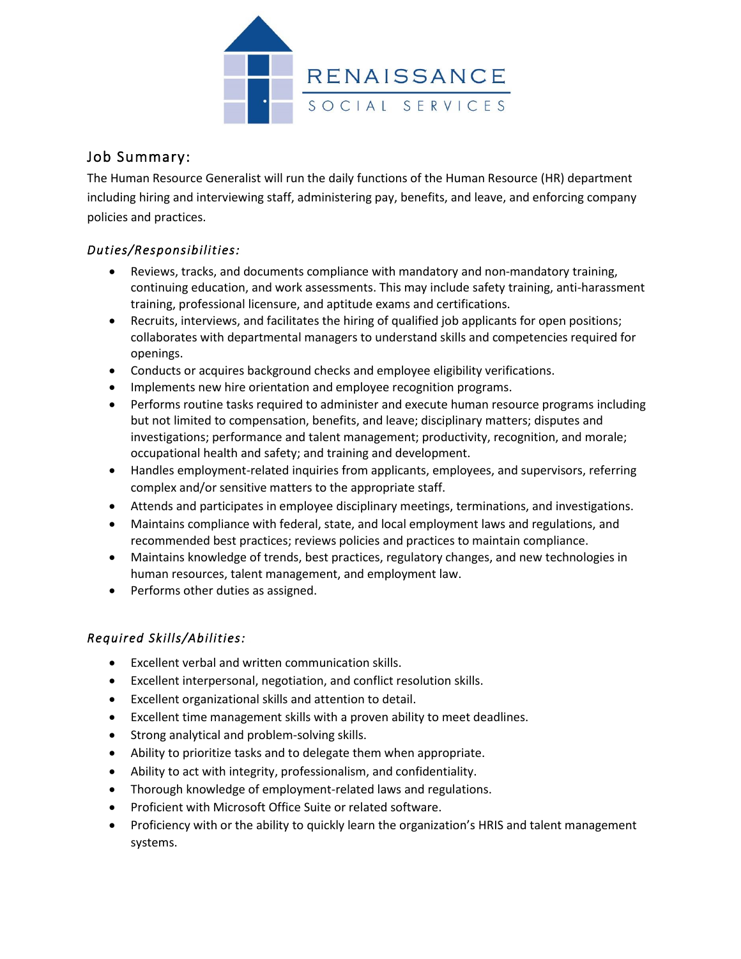

# Job Summary:

The Human Resource Generalist will run the daily functions of the Human Resource (HR) department including hiring and interviewing staff, administering pay, benefits, and leave, and enforcing company policies and practices.

### *Duties/Responsibilities:*

- Reviews, tracks, and documents compliance with mandatory and non-mandatory training, continuing education, and work assessments. This may include safety training, anti-harassment training, professional licensure, and aptitude exams and certifications.
- Recruits, interviews, and facilitates the hiring of qualified job applicants for open positions; collaborates with departmental managers to understand skills and competencies required for openings.
- Conducts or acquires background checks and employee eligibility verifications.
- Implements new hire orientation and employee recognition programs.
- Performs routine tasks required to administer and execute human resource programs including but not limited to compensation, benefits, and leave; disciplinary matters; disputes and investigations; performance and talent management; productivity, recognition, and morale; occupational health and safety; and training and development.
- Handles employment-related inquiries from applicants, employees, and supervisors, referring complex and/or sensitive matters to the appropriate staff.
- Attends and participates in employee disciplinary meetings, terminations, and investigations.
- Maintains compliance with federal, state, and local employment laws and regulations, and recommended best practices; reviews policies and practices to maintain compliance.
- Maintains knowledge of trends, best practices, regulatory changes, and new technologies in human resources, talent management, and employment law.
- Performs other duties as assigned.

## *Required Skills/Abilities:*

- Excellent verbal and written communication skills.
- Excellent interpersonal, negotiation, and conflict resolution skills.
- Excellent organizational skills and attention to detail.
- Excellent time management skills with a proven ability to meet deadlines.
- Strong analytical and problem-solving skills.
- Ability to prioritize tasks and to delegate them when appropriate.
- Ability to act with integrity, professionalism, and confidentiality.
- Thorough knowledge of employment-related laws and regulations.
- Proficient with Microsoft Office Suite or related software.
- Proficiency with or the ability to quickly learn the organization's HRIS and talent management systems.